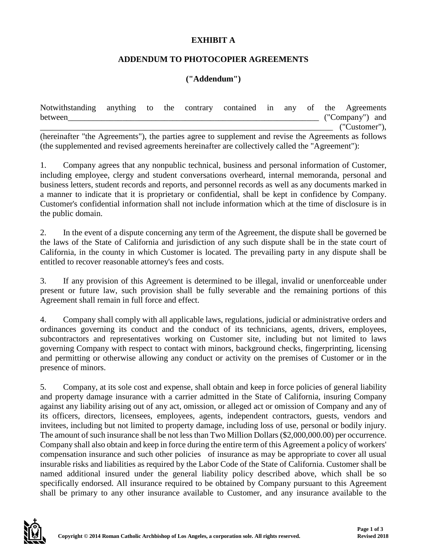## **EXHIBIT A**

## **ADDENDUM TO PHOTOCOPIER AGREEMENTS**

## **("Addendum")**

| Notwithstanding anything to the contrary contained in any of the Agreements                          |  |  |  |  |                 |  |
|------------------------------------------------------------------------------------------------------|--|--|--|--|-----------------|--|
| between                                                                                              |  |  |  |  | ("Company") and |  |
|                                                                                                      |  |  |  |  | ("Customer"),   |  |
| (hereinafter "the Agreements"), the parties agree to supplement and revise the Agreements as follows |  |  |  |  |                 |  |

(the supplemented and revised agreements hereinafter are collectively called the "Agreement"):

1. Company agrees that any nonpublic technical, business and personal information of Customer, including employee, clergy and student conversations overheard, internal memoranda, personal and business letters, student records and reports, and personnel records as well as any documents marked in a manner to indicate that it is proprietary or confidential, shall be kept in confidence by Company. Customer's confidential information shall not include information which at the time of disclosure is in the public domain.

2. In the event of a dispute concerning any term of the Agreement, the dispute shall be governed be the laws of the State of California and jurisdiction of any such dispute shall be in the state court of California, in the county in which Customer is located. The prevailing party in any dispute shall be entitled to recover reasonable attorney's fees and costs.

3. If any provision of this Agreement is determined to be illegal, invalid or unenforceable under present or future law, such provision shall be fully severable and the remaining portions of this Agreement shall remain in full force and effect.

4. Company shall comply with all applicable laws, regulations, judicial or administrative orders and ordinances governing its conduct and the conduct of its technicians, agents, drivers, employees, subcontractors and representatives working on Customer site, including but not limited to laws governing Company with respect to contact with minors, background checks, fingerprinting, licensing and permitting or otherwise allowing any conduct or activity on the premises of Customer or in the presence of minors.

5. Company, at its sole cost and expense, shall obtain and keep in force policies of general liability and property damage insurance with a carrier admitted in the State of California, insuring Company against any liability arising out of any act, omission, or alleged act or omission of Company and any of its officers, directors, licensees, employees, agents, independent contractors, guests, vendors and invitees, including but not limited to property damage, including loss of use, personal or bodily injury. The amount of such insurance shall be not less than Two Million Dollars (\$2,000,000.00) per occurrence. Company shall also obtain and keep in force during the entire term of this Agreement a policy of workers' compensation insurance and such other policies of insurance as may be appropriate to cover all usual insurable risks and liabilities as required by the Labor Code of the State of California. Customer shall be named additional insured under the general liability policy described above, which shall be so specifically endorsed. All insurance required to be obtained by Company pursuant to this Agreement shall be primary to any other insurance available to Customer, and any insurance available to the

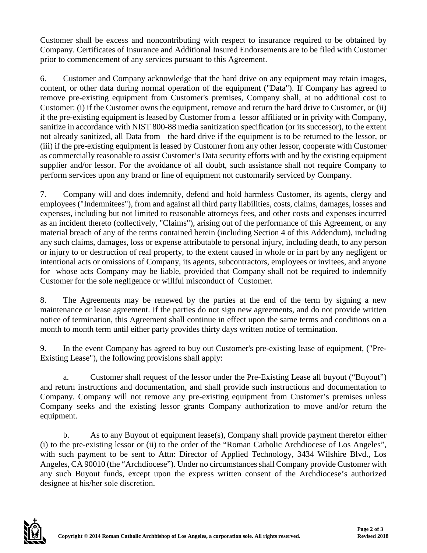Customer shall be excess and noncontributing with respect to insurance required to be obtained by Company. Certificates of Insurance and Additional Insured Endorsements are to be filed with Customer prior to commencement of any services pursuant to this Agreement.

6. Customer and Company acknowledge that the hard drive on any equipment may retain images, content, or other data during normal operation of the equipment ("Data"). If Company has agreed to remove pre-existing equipment from Customer's premises, Company shall, at no additional cost to Customer: (i) if the Customer owns the equipment, remove and return the hard drive to Customer, or (ii) if the pre-existing equipment is leased by Customer from a lessor affiliated or in privity with Company, sanitize in accordance with NIST 800-88 media sanitization specification (or its successor), to the extent not already sanitized, all Data from the hard drive if the equipment is to be returned to the lessor, or (iii) if the pre-existing equipment is leased by Customer from any other lessor, cooperate with Customer as commercially reasonable to assist Customer's Data security efforts with and by the existing equipment supplier and/or lessor. For the avoidance of all doubt, such assistance shall not require Company to perform services upon any brand or line of equipment not customarily serviced by Company.

7. Company will and does indemnify, defend and hold harmless Customer, its agents, clergy and employees ("Indemnitees"), from and against all third party liabilities, costs, claims, damages, losses and expenses, including but not limited to reasonable attorneys fees, and other costs and expenses incurred as an incident thereto (collectively, "Claims"), arising out of the performance of this Agreement, or any material breach of any of the terms contained herein (including Section 4 of this Addendum), including any such claims, damages, loss or expense attributable to personal injury, including death, to any person or injury to or destruction of real property, to the extent caused in whole or in part by any negligent or intentional acts or omissions of Company, its agents, subcontractors, employees or invitees, and anyone for whose acts Company may be liable, provided that Company shall not be required to indemnify Customer for the sole negligence or willful misconduct of Customer.

8. The Agreements may be renewed by the parties at the end of the term by signing a new maintenance or lease agreement. If the parties do not sign new agreements, and do not provide written notice of termination, this Agreement shall continue in effect upon the same terms and conditions on a month to month term until either party provides thirty days written notice of termination.

9. In the event Company has agreed to buy out Customer's pre-existing lease of equipment, ("Pre-Existing Lease"), the following provisions shall apply:

a. Customer shall request of the lessor under the Pre-Existing Lease all buyout ("Buyout") and return instructions and documentation, and shall provide such instructions and documentation to Company. Company will not remove any pre-existing equipment from Customer's premises unless Company seeks and the existing lessor grants Company authorization to move and/or return the equipment.

b. As to any Buyout of equipment lease(s), Company shall provide payment therefor either (i) to the pre-existing lessor or (ii) to the order of the "Roman Catholic Archdiocese of Los Angeles", with such payment to be sent to Attn: Director of Applied Technology, 3434 Wilshire Blvd., Los Angeles, CA 90010 (the "Archdiocese"). Under no circumstances shall Company provide Customer with any such Buyout funds, except upon the express written consent of the Archdiocese's authorized designee at his/her sole discretion.